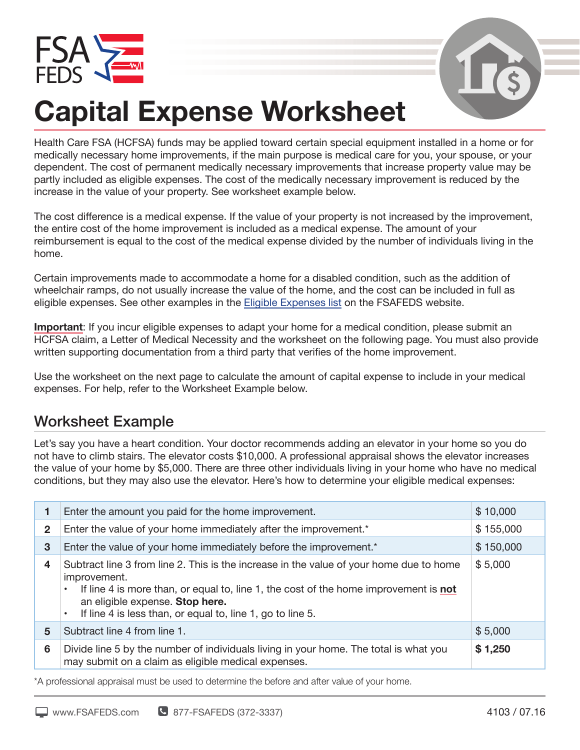



## **Capital Expense Worksheet**

Health Care FSA (HCFSA) funds may be applied toward certain special equipment installed in a home or for medically necessary home improvements, if the main purpose is medical care for you, your spouse, or your dependent. The cost of permanent medically necessary improvements that increase property value may be partly included as eligible expenses. The cost of the medically necessary improvement is reduced by the increase in the value of your property. See worksheet example below.

The cost difference is a medical expense. If the value of your property is not increased by the improvement, the entire cost of the home improvement is included as a medical expense. The amount of your reimbursement is equal to the cost of the medical expense divided by the number of individuals living in the home.

Certain improvements made to accommodate a home for a disabled condition, such as the addition of wheelchair ramps, do not usually increase the value of the home, and the cost can be included in full as eligible expenses. See other examples in the Eligible Expenses list on the FSAFEDS website.

**Important**: If you incur eligible expenses to adapt your home for a medical condition, please submit an HCFSA claim, a Letter of Medical Necessity and the worksheet on the following page. You must also provide written supporting documentation from a third party that verifies of the home improvement.

Use the worksheet on the next page to calculate the amount of capital expense to include in your medical expenses. For help, refer to the Worksheet Example below.

## Worksheet Example

Let's say you have a heart condition. Your doctor recommends adding an elevator in your home so you do not have to climb stairs. The elevator costs \$10,000. A professional appraisal shows the elevator increases the value of your home by \$5,000. There are three other individuals living in your home who have no medical conditions, but they may also use the elevator. Here's how to determine your eligible medical expenses:

|              | Enter the amount you paid for the home improvement.                                                                                                                                                                                                                                                                               | \$10,000  |
|--------------|-----------------------------------------------------------------------------------------------------------------------------------------------------------------------------------------------------------------------------------------------------------------------------------------------------------------------------------|-----------|
| $\mathbf{2}$ | Enter the value of your home immediately after the improvement.*                                                                                                                                                                                                                                                                  | \$155,000 |
| 3            | Enter the value of your home immediately before the improvement.*                                                                                                                                                                                                                                                                 | \$150,000 |
| 4            | Subtract line 3 from line 2. This is the increase in the value of your home due to home<br>improvement.<br>If line 4 is more than, or equal to, line 1, the cost of the home improvement is <b>not</b><br>$\bullet$<br>an eligible expense. Stop here.<br>If line 4 is less than, or equal to, line 1, go to line 5.<br>$\bullet$ | \$5,000   |
| 5            | Subtract line 4 from line 1.                                                                                                                                                                                                                                                                                                      | \$5,000   |
| 6            | Divide line 5 by the number of individuals living in your home. The total is what you<br>may submit on a claim as eligible medical expenses.                                                                                                                                                                                      | \$1,250   |

\*A professional appraisal must be used to determine the before and after value of your home.